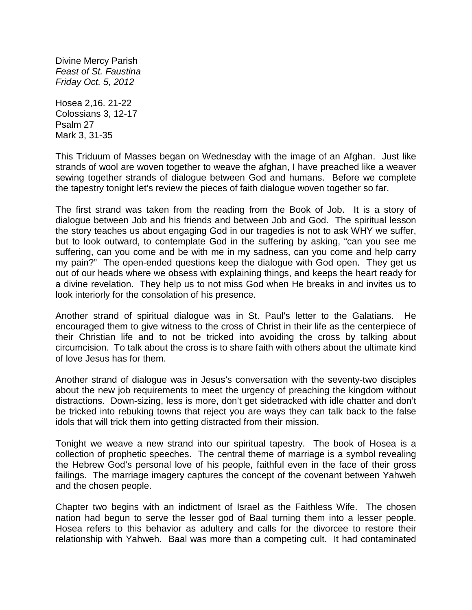Divine Mercy Parish *Feast of St. Faustina Friday Oct. 5, 2012*

Hosea 2,16. 21-22 Colossians 3, 12-17 Psalm 27 Mark 3, 31-35

This Triduum of Masses began on Wednesday with the image of an Afghan. Just like strands of wool are woven together to weave the afghan, I have preached like a weaver sewing together strands of dialogue between God and humans. Before we complete the tapestry tonight let's review the pieces of faith dialogue woven together so far.

The first strand was taken from the reading from the Book of Job. It is a story of dialogue between Job and his friends and between Job and God. The spiritual lesson the story teaches us about engaging God in our tragedies is not to ask WHY we suffer, but to look outward, to contemplate God in the suffering by asking, "can you see me suffering, can you come and be with me in my sadness, can you come and help carry my pain?" The open-ended questions keep the dialogue with God open. They get us out of our heads where we obsess with explaining things, and keeps the heart ready for a divine revelation. They help us to not miss God when He breaks in and invites us to look interiorly for the consolation of his presence.

Another strand of spiritual dialogue was in St. Paul's letter to the Galatians. He encouraged them to give witness to the cross of Christ in their life as the centerpiece of their Christian life and to not be tricked into avoiding the cross by talking about circumcision. To talk about the cross is to share faith with others about the ultimate kind of love Jesus has for them.

Another strand of dialogue was in Jesus's conversation with the seventy-two disciples about the new job requirements to meet the urgency of preaching the kingdom without distractions. Down-sizing, less is more, don't get sidetracked with idle chatter and don't be tricked into rebuking towns that reject you are ways they can talk back to the false idols that will trick them into getting distracted from their mission.

Tonight we weave a new strand into our spiritual tapestry. The book of Hosea is a collection of prophetic speeches. The central theme of marriage is a symbol revealing the Hebrew God's personal love of his people, faithful even in the face of their gross failings. The marriage imagery captures the concept of the covenant between Yahweh and the chosen people.

Chapter two begins with an indictment of Israel as the Faithless Wife. The chosen nation had begun to serve the lesser god of Baal turning them into a lesser people. Hosea refers to this behavior as adultery and calls for the divorcee to restore their relationship with Yahweh. Baal was more than a competing cult. It had contaminated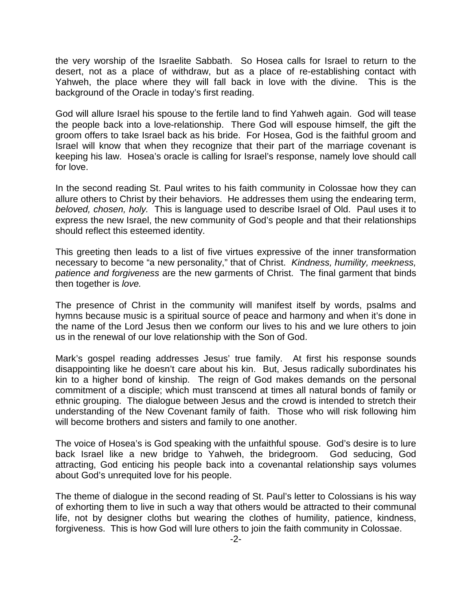the very worship of the Israelite Sabbath. So Hosea calls for Israel to return to the desert, not as a place of withdraw, but as a place of re-establishing contact with Yahweh, the place where they will fall back in love with the divine. This is the background of the Oracle in today's first reading.

God will allure Israel his spouse to the fertile land to find Yahweh again. God will tease the people back into a love-relationship. There God will espouse himself, the gift the groom offers to take Israel back as his bride. For Hosea, God is the faithful groom and Israel will know that when they recognize that their part of the marriage covenant is keeping his law. Hosea's oracle is calling for Israel's response, namely love should call for love.

In the second reading St. Paul writes to his faith community in Colossae how they can allure others to Christ by their behaviors. He addresses them using the endearing term, *beloved, chosen, holy.* This is language used to describe Israel of Old. Paul uses it to express the new Israel, the new community of God's people and that their relationships should reflect this esteemed identity.

This greeting then leads to a list of five virtues expressive of the inner transformation necessary to become "a new personality," that of Christ. *Kindness, humility, meekness, patience and forgiveness* are the new garments of Christ. The final garment that binds then together is *love.* 

The presence of Christ in the community will manifest itself by words, psalms and hymns because music is a spiritual source of peace and harmony and when it's done in the name of the Lord Jesus then we conform our lives to his and we lure others to join us in the renewal of our love relationship with the Son of God.

Mark's gospel reading addresses Jesus' true family. At first his response sounds disappointing like he doesn't care about his kin. But, Jesus radically subordinates his kin to a higher bond of kinship. The reign of God makes demands on the personal commitment of a disciple; which must transcend at times all natural bonds of family or ethnic grouping. The dialogue between Jesus and the crowd is intended to stretch their understanding of the New Covenant family of faith. Those who will risk following him will become brothers and sisters and family to one another.

The voice of Hosea's is God speaking with the unfaithful spouse. God's desire is to lure back Israel like a new bridge to Yahweh, the bridegroom. God seducing, God attracting, God enticing his people back into a covenantal relationship says volumes about God's unrequited love for his people.

The theme of dialogue in the second reading of St. Paul's letter to Colossians is his way of exhorting them to live in such a way that others would be attracted to their communal life, not by designer cloths but wearing the clothes of humility, patience, kindness, forgiveness. This is how God will lure others to join the faith community in Colossae.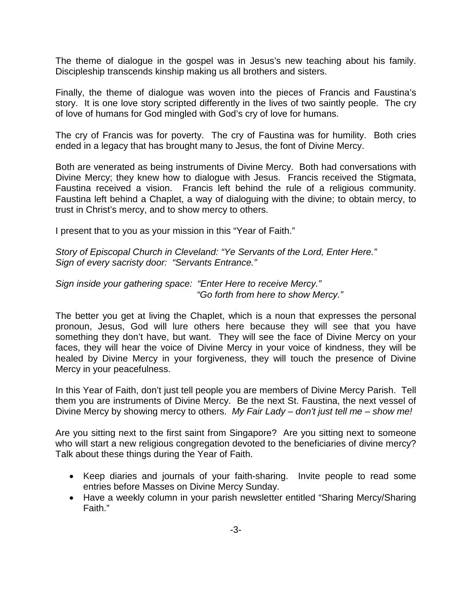The theme of dialogue in the gospel was in Jesus's new teaching about his family. Discipleship transcends kinship making us all brothers and sisters.

Finally, the theme of dialogue was woven into the pieces of Francis and Faustina's story. It is one love story scripted differently in the lives of two saintly people. The cry of love of humans for God mingled with God's cry of love for humans.

The cry of Francis was for poverty. The cry of Faustina was for humility. Both cries ended in a legacy that has brought many to Jesus, the font of Divine Mercy.

Both are venerated as being instruments of Divine Mercy. Both had conversations with Divine Mercy; they knew how to dialogue with Jesus. Francis received the Stigmata, Faustina received a vision. Francis left behind the rule of a religious community. Faustina left behind a Chaplet, a way of dialoguing with the divine; to obtain mercy, to trust in Christ's mercy, and to show mercy to others.

I present that to you as your mission in this "Year of Faith."

*Story of Episcopal Church in Cleveland: "Ye Servants of the Lord, Enter Here." Sign of every sacristy door: "Servants Entrance."*

## *Sign inside your gathering space: "Enter Here to receive Mercy." "Go forth from here to show Mercy."*

The better you get at living the Chaplet, which is a noun that expresses the personal pronoun, Jesus, God will lure others here because they will see that you have something they don't have, but want. They will see the face of Divine Mercy on your faces, they will hear the voice of Divine Mercy in your voice of kindness, they will be healed by Divine Mercy in your forgiveness, they will touch the presence of Divine Mercy in your peacefulness.

In this Year of Faith, don't just tell people you are members of Divine Mercy Parish. Tell them you are instruments of Divine Mercy. Be the next St. Faustina, the next vessel of Divine Mercy by showing mercy to others. *My Fair Lady – don't just tell me – show me!*

Are you sitting next to the first saint from Singapore? Are you sitting next to someone who will start a new religious congregation devoted to the beneficiaries of divine mercy? Talk about these things during the Year of Faith.

- Keep diaries and journals of your faith-sharing. Invite people to read some entries before Masses on Divine Mercy Sunday.
- Have a weekly column in your parish newsletter entitled "Sharing Mercy/Sharing Faith."